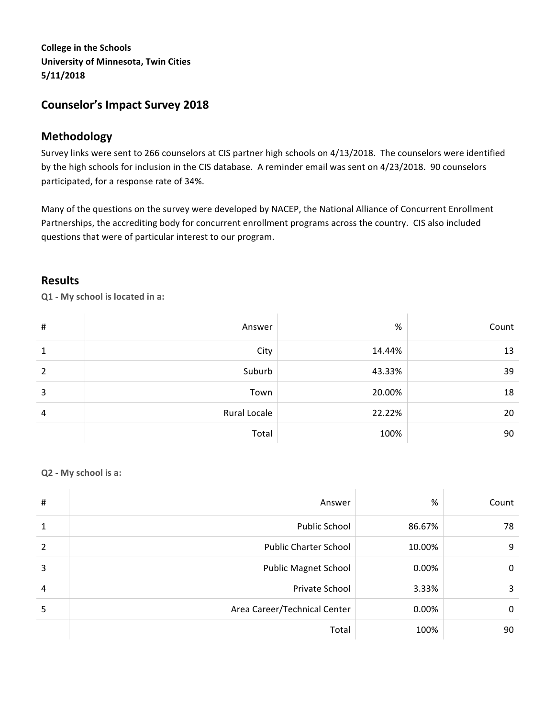**College in the Schools University of Minnesota, Twin Cities 5/11/2018**

# **Counselor's Impact Survey 2018**

# **Methodology**

Survey links were sent to 266 counselors at CIS partner high schools on 4/13/2018. The counselors were identified by the high schools for inclusion in the CIS database. A reminder email was sent on 4/23/2018. 90 counselors participated, for a response rate of 34%.

Many of the questions on the survey were developed by NACEP, the National Alliance of Concurrent Enrollment Partnerships, the accrediting body for concurrent enrollment programs across the country. CIS also included questions that were of particular interest to our program.

# **Results**

**Q1 - My school is located in a:**

 $\mathcal{A}$ 

| # | Answer       | %      | Count |
|---|--------------|--------|-------|
| 1 | City         | 14.44% | 13    |
| 2 | Suburb       | 43.33% | 39    |
| 3 | Town         | 20.00% | 18    |
| 4 | Rural Locale | 22.22% | 20    |
|   | Total        | 100%   | 90    |

## **Q2 - My school is a:**

| $\sharp$                 | Answer                       | %      | Count |
|--------------------------|------------------------------|--------|-------|
| 1                        | Public School                | 86.67% | 78    |
| $\overline{\phantom{0}}$ | <b>Public Charter School</b> | 10.00% | 9     |
| 3                        | <b>Public Magnet School</b>  | 0.00%  | 0     |
| 4                        | Private School               | 3.33%  | 3     |
| 5                        | Area Career/Technical Center | 0.00%  | 0     |
|                          | Total                        | 100%   | 90    |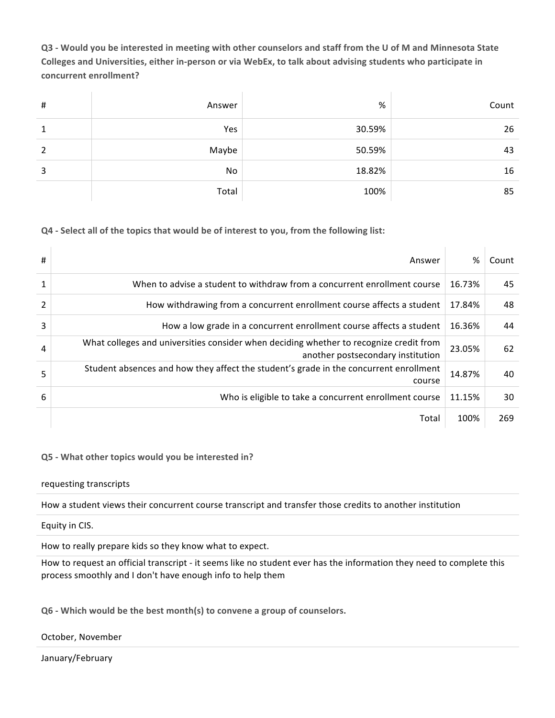**Q3 - Would you be interested in meeting with other counselors and staff from the U of M and Minnesota State**  Colleges and Universities, either in-person or via WebEx, to talk about advising students who participate in concurrent enrollment?

| $\sharp$ | Answer | $\%$   | Count |
|----------|--------|--------|-------|
| 1        | Yes    | 30.59% | 26    |
| 2        | Maybe  | 50.59% | 43    |
| 3        | No     | 18.82% | 16    |
|          | Total  | 100%   | 85    |

## **Q4** - Select all of the topics that would be of interest to you, from the following list:

| #              | Answer                                                                                                                      | %      | Count |
|----------------|-----------------------------------------------------------------------------------------------------------------------------|--------|-------|
| 1              | When to advise a student to withdraw from a concurrent enrollment course                                                    | 16.73% | 45    |
| $\overline{2}$ | How withdrawing from a concurrent enrollment course affects a student                                                       | 17.84% | 48    |
| 3              | How a low grade in a concurrent enrollment course affects a student                                                         | 16.36% | 44    |
| 4              | What colleges and universities consider when deciding whether to recognize credit from<br>another postsecondary institution | 23.05% | 62    |
| 5              | Student absences and how they affect the student's grade in the concurrent enrollment<br>course                             | 14.87% | 40    |
| 6              | Who is eligible to take a concurrent enrollment course                                                                      | 11.15% | 30    |
|                | Total                                                                                                                       | 100%   | 269   |

## **Q5 - What other topics would you be interested in?**

#### requesting transcripts

How a student views their concurrent course transcript and transfer those credits to another institution

#### Equity in CIS.

How to really prepare kids so they know what to expect.

How to request an official transcript - it seems like no student ever has the information they need to complete this process smoothly and I don't have enough info to help them

**Q6 - Which would be the best month(s) to convene a group of counselors.**

October, November

January/February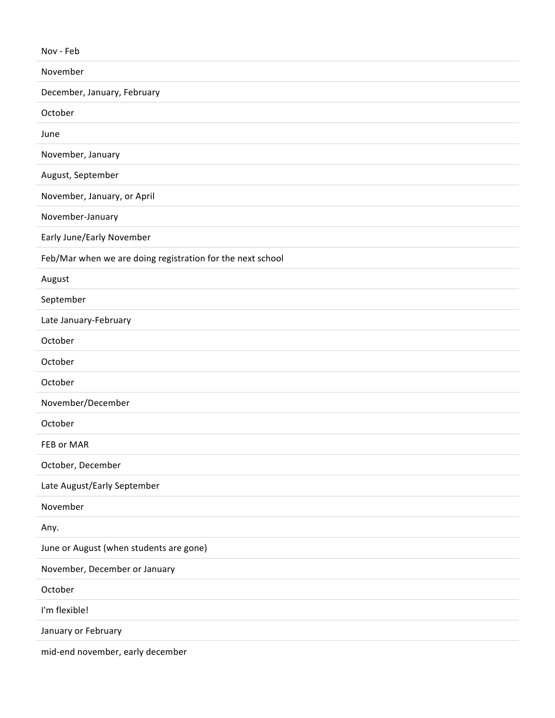Nov - Feb

| November                                                   |
|------------------------------------------------------------|
| December, January, February                                |
| October                                                    |
| June                                                       |
| November, January                                          |
| August, September                                          |
| November, January, or April                                |
| November-January                                           |
| Early June/Early November                                  |
| Feb/Mar when we are doing registration for the next school |
| August                                                     |
| September                                                  |
| Late January-February                                      |
| October                                                    |
| October                                                    |
| October                                                    |
| November/December                                          |
| October                                                    |
| FEB or MAR                                                 |
| October, December                                          |
| Late August/Early September                                |
| November                                                   |
| Any.                                                       |
| June or August (when students are gone)                    |
| November, December or January                              |
| October                                                    |
| I'm flexible!                                              |
| January or February                                        |
| mid-end november, early december                           |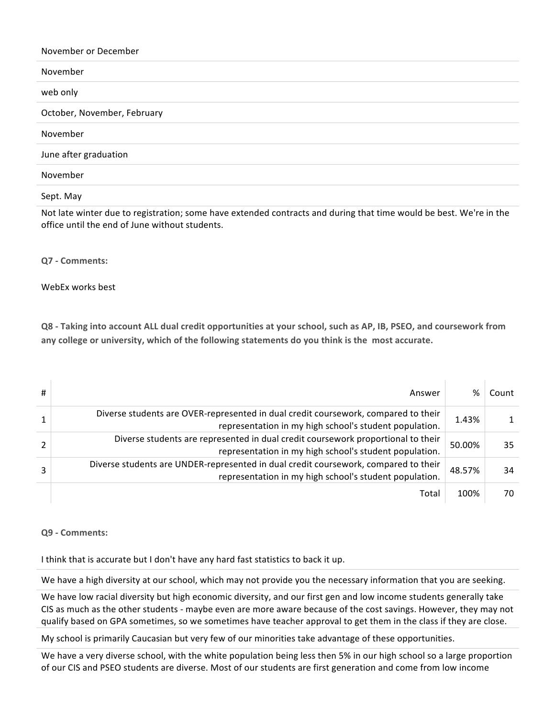| November or December        |
|-----------------------------|
| November                    |
| web only                    |
| October, November, February |
| November                    |
| June after graduation       |
| November                    |
| Sept. May                   |

Not late winter due to registration; some have extended contracts and during that time would be best. We're in the office until the end of June without students.

#### **Q7 - Comments:**

#### WebEx works best

**Q8** - Taking into account ALL dual credit opportunities at your school, such as AP, IB, PSEO, and coursework from any college or university, which of the following statements do you think is the most accurate.

| # | Answer                                                                                                                                        | %      | Count |
|---|-----------------------------------------------------------------------------------------------------------------------------------------------|--------|-------|
|   | Diverse students are OVER-represented in dual credit coursework, compared to their<br>representation in my high school's student population.  | 1.43%  |       |
|   | Diverse students are represented in dual credit coursework proportional to their<br>representation in my high school's student population.    | 50.00% | 35    |
|   | Diverse students are UNDER-represented in dual credit coursework, compared to their<br>representation in my high school's student population. | 48.57% | 34    |
|   | Total                                                                                                                                         | 100%   | 70    |

#### **Q9 - Comments:**

I think that is accurate but I don't have any hard fast statistics to back it up.

We have a high diversity at our school, which may not provide you the necessary information that you are seeking.

We have low racial diversity but high economic diversity, and our first gen and low income students generally take CIS as much as the other students - maybe even are more aware because of the cost savings. However, they may not qualify based on GPA sometimes, so we sometimes have teacher approval to get them in the class if they are close.

My school is primarily Caucasian but very few of our minorities take advantage of these opportunities.

We have a very diverse school, with the white population being less then 5% in our high school so a large proportion of our CIS and PSEO students are diverse. Most of our students are first generation and come from low income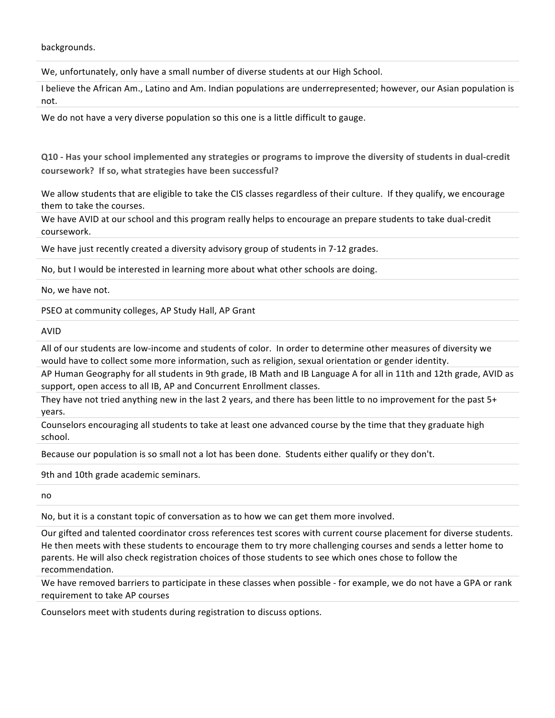backgrounds.

We, unfortunately, only have a small number of diverse students at our High School.

I believe the African Am., Latino and Am. Indian populations are underrepresented; however, our Asian population is not.

We do not have a very diverse population so this one is a little difficult to gauge.

**Q10 -** Has your school implemented any strategies or programs to improve the diversity of students in dual-credit coursework? If so, what strategies have been successful?

We allow students that are eligible to take the CIS classes regardless of their culture. If they qualify, we encourage them to take the courses.

We have AVID at our school and this program really helps to encourage an prepare students to take dual-credit coursework.

We have just recently created a diversity advisory group of students in 7-12 grades.

No, but I would be interested in learning more about what other schools are doing.

No, we have not.

PSEO at community colleges, AP Study Hall, AP Grant

AVID

All of our students are low-income and students of color. In order to determine other measures of diversity we would have to collect some more information, such as religion, sexual orientation or gender identity.

AP Human Geography for all students in 9th grade, IB Math and IB Language A for all in 11th and 12th grade, AVID as support, open access to all IB, AP and Concurrent Enrollment classes.

They have not tried anything new in the last 2 years, and there has been little to no improvement for the past 5+ years.

Counselors encouraging all students to take at least one advanced course by the time that they graduate high school.

Because our population is so small not a lot has been done. Students either qualify or they don't.

9th and 10th grade academic seminars.

no

No, but it is a constant topic of conversation as to how we can get them more involved.

Our gifted and talented coordinator cross references test scores with current course placement for diverse students. He then meets with these students to encourage them to try more challenging courses and sends a letter home to parents. He will also check registration choices of those students to see which ones chose to follow the recommendation.

We have removed barriers to participate in these classes when possible - for example, we do not have a GPA or rank requirement to take AP courses

Counselors meet with students during registration to discuss options.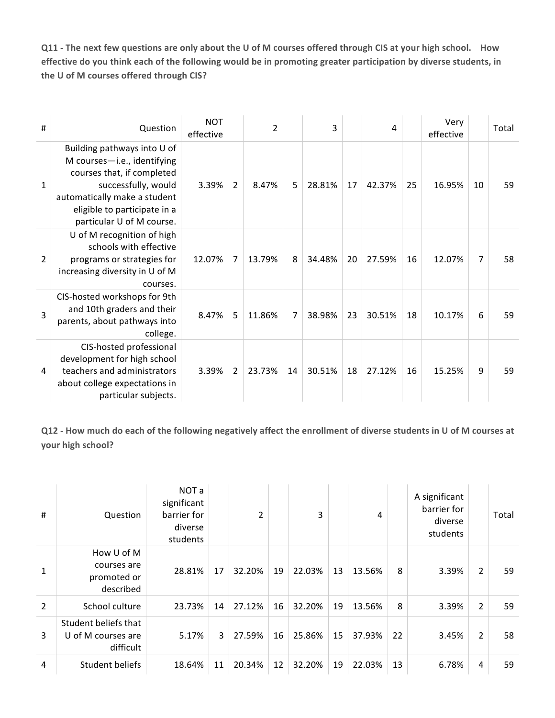**Q11** - The next few questions are only about the U of M courses offered through CIS at your high school. How effective do you think each of the following would be in promoting greater participation by diverse students, in the U of M courses offered through CIS?

| #              | Question                                                                                                                                                                                                     | <b>NOT</b><br>effective |                | $\overline{2}$ |    | 3      |    | 4      |    | Very<br>effective |    | Total |
|----------------|--------------------------------------------------------------------------------------------------------------------------------------------------------------------------------------------------------------|-------------------------|----------------|----------------|----|--------|----|--------|----|-------------------|----|-------|
| 1              | Building pathways into U of<br>M courses-i.e., identifying<br>courses that, if completed<br>successfully, would<br>automatically make a student<br>eligible to participate in a<br>particular U of M course. | 3.39%                   | $\overline{2}$ | 8.47%          | 5  | 28.81% | 17 | 42.37% | 25 | 16.95%            | 10 | 59    |
| $\overline{2}$ | U of M recognition of high<br>schools with effective<br>programs or strategies for<br>increasing diversity in U of M<br>courses.                                                                             | 12.07%                  | $\overline{7}$ | 13.79%         | 8  | 34.48% | 20 | 27.59% | 16 | 12.07%            | 7  | 58    |
| 3              | CIS-hosted workshops for 9th<br>and 10th graders and their<br>parents, about pathways into<br>college.                                                                                                       | 8.47%                   | 5              | 11.86%         | 7  | 38.98% | 23 | 30.51% | 18 | 10.17%            | 6  | 59    |
| 4              | CIS-hosted professional<br>development for high school<br>teachers and administrators<br>about college expectations in<br>particular subjects.                                                               | 3.39%                   | $\overline{2}$ | 23.73%         | 14 | 30.51% | 18 | 27.12% | 16 | 15.25%            | 9  | 59    |

Q12 - How much do each of the following negatively affect the enrollment of diverse students in U of M courses at **your high school?** 

| #              | Question                                                | NOT a<br>significant<br>barrier for<br>diverse<br>students |    | $\overline{2}$ |    | 3      |    | 4      |    | A significant<br>barrier for<br>diverse<br>students |                | Total |
|----------------|---------------------------------------------------------|------------------------------------------------------------|----|----------------|----|--------|----|--------|----|-----------------------------------------------------|----------------|-------|
| $\mathbf{1}$   | How U of M<br>courses are<br>promoted or<br>described   | 28.81%                                                     | 17 | 32.20%         | 19 | 22.03% | 13 | 13.56% | 8  | 3.39%                                               | $\overline{2}$ | 59    |
| $\overline{2}$ | School culture                                          | 23.73%                                                     | 14 | 27.12%         | 16 | 32.20% | 19 | 13.56% | 8  | 3.39%                                               | $\overline{2}$ | 59    |
| 3              | Student beliefs that<br>U of M courses are<br>difficult | 5.17%                                                      | 3  | 27.59%         | 16 | 25.86% | 15 | 37.93% | 22 | 3.45%                                               | 2              | 58    |
| 4              | Student beliefs                                         | 18.64%                                                     | 11 | 20.34%         | 12 | 32.20% | 19 | 22.03% | 13 | 6.78%                                               | 4              | 59    |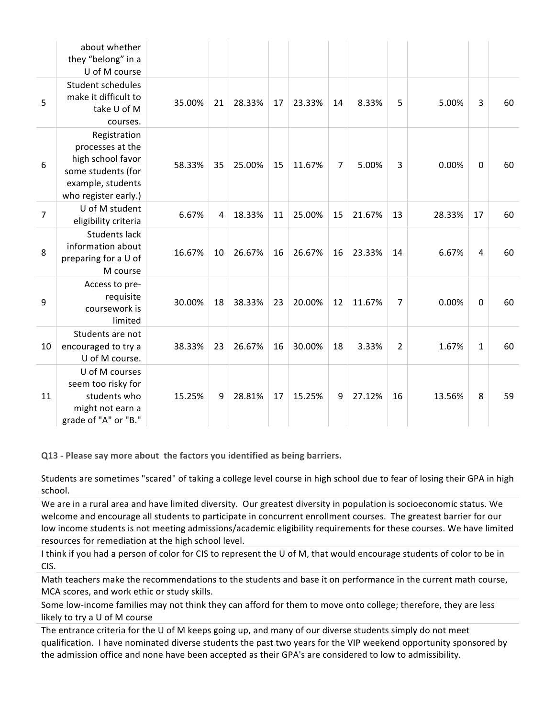|                | about whether<br>they "belong" in a<br>U of M course                                                                     |        |                |        |    |        |    |        |                |        |                |    |
|----------------|--------------------------------------------------------------------------------------------------------------------------|--------|----------------|--------|----|--------|----|--------|----------------|--------|----------------|----|
| 5              | Student schedules<br>make it difficult to<br>take U of M<br>courses.                                                     | 35.00% | 21             | 28.33% | 17 | 23.33% | 14 | 8.33%  | 5              | 5.00%  | 3              | 60 |
| 6              | Registration<br>processes at the<br>high school favor<br>some students (for<br>example, students<br>who register early.) | 58.33% | 35             | 25.00% | 15 | 11.67% | 7  | 5.00%  | 3              | 0.00%  | $\mathbf 0$    | 60 |
| $\overline{7}$ | U of M student<br>eligibility criteria                                                                                   | 6.67%  | $\overline{4}$ | 18.33% | 11 | 25.00% | 15 | 21.67% | 13             | 28.33% | 17             | 60 |
| 8              | <b>Students lack</b><br>information about<br>preparing for a U of<br>M course                                            | 16.67% | 10             | 26.67% | 16 | 26.67% | 16 | 23.33% | 14             | 6.67%  | $\overline{4}$ | 60 |
| 9              | Access to pre-<br>requisite<br>coursework is<br>limited                                                                  | 30.00% | 18             | 38.33% | 23 | 20.00% | 12 | 11.67% | $\overline{7}$ | 0.00%  | $\mathbf 0$    | 60 |
| 10             | Students are not<br>encouraged to try a<br>U of M course.                                                                | 38.33% | 23             | 26.67% | 16 | 30.00% | 18 | 3.33%  | $\overline{2}$ | 1.67%  | $\mathbf{1}$   | 60 |
| 11             | U of M courses<br>seem too risky for<br>students who<br>might not earn a<br>grade of "A" or "B."                         | 15.25% | 9              | 28.81% | 17 | 15.25% | 9  | 27.12% | 16             | 13.56% | 8              | 59 |

**Q13 - Please say more about the factors you identified as being barriers.**

Students are sometimes "scared" of taking a college level course in high school due to fear of losing their GPA in high school.

We are in a rural area and have limited diversity. Our greatest diversity in population is socioeconomic status. We welcome and encourage all students to participate in concurrent enrollment courses. The greatest barrier for our low income students is not meeting admissions/academic eligibility requirements for these courses. We have limited resources for remediation at the high school level.

I think if you had a person of color for CIS to represent the U of M, that would encourage students of color to be in CIS.

Math teachers make the recommendations to the students and base it on performance in the current math course, MCA scores, and work ethic or study skills.

Some low-income families may not think they can afford for them to move onto college; therefore, they are less likely to try a U of M course

The entrance criteria for the U of M keeps going up, and many of our diverse students simply do not meet qualification. I have nominated diverse students the past two years for the VIP weekend opportunity sponsored by the admission office and none have been accepted as their GPA's are considered to low to admissibility.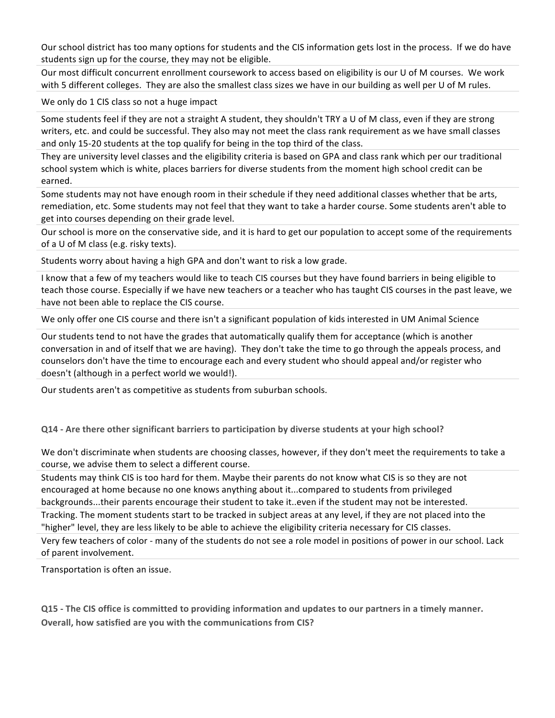Our school district has too many options for students and the CIS information gets lost in the process. If we do have students sign up for the course, they may not be eligible.

Our most difficult concurrent enrollment coursework to access based on eligibility is our U of M courses. We work with 5 different colleges. They are also the smallest class sizes we have in our building as well per U of M rules.

We only do 1 CIS class so not a huge impact

Some students feel if they are not a straight A student, they shouldn't TRY a U of M class, even if they are strong writers, etc. and could be successful. They also may not meet the class rank requirement as we have small classes and only 15-20 students at the top qualify for being in the top third of the class.

They are university level classes and the eligibility criteria is based on GPA and class rank which per our traditional school system which is white, places barriers for diverse students from the moment high school credit can be earned.

Some students may not have enough room in their schedule if they need additional classes whether that be arts, remediation, etc. Some students may not feel that they want to take a harder course. Some students aren't able to get into courses depending on their grade level.

Our school is more on the conservative side, and it is hard to get our population to accept some of the requirements of a U of M class (e.g. risky texts).

Students worry about having a high GPA and don't want to risk a low grade.

I know that a few of my teachers would like to teach CIS courses but they have found barriers in being eligible to teach those course. Especially if we have new teachers or a teacher who has taught CIS courses in the past leave, we have not been able to replace the CIS course.

We only offer one CIS course and there isn't a significant population of kids interested in UM Animal Science

Our students tend to not have the grades that automatically qualify them for acceptance (which is another conversation in and of itself that we are having). They don't take the time to go through the appeals process, and counselors don't have the time to encourage each and every student who should appeal and/or register who doesn't (although in a perfect world we would!).

Our students aren't as competitive as students from suburban schools.

**Q14 -** Are there other significant barriers to participation by diverse students at your high school?

We don't discriminate when students are choosing classes, however, if they don't meet the requirements to take a course, we advise them to select a different course.

Students may think CIS is too hard for them. Maybe their parents do not know what CIS is so they are not encouraged at home because no one knows anything about it...compared to students from privileged backgrounds...their parents encourage their student to take it..even if the student may not be interested. Tracking. The moment students start to be tracked in subject areas at any level, if they are not placed into the "higher" level, they are less likely to be able to achieve the eligibility criteria necessary for CIS classes.

Very few teachers of color - many of the students do not see a role model in positions of power in our school. Lack of parent involvement.

Transportation is often an issue.

**Q15 -** The CIS office is committed to providing information and updates to our partners in a timely manner. **Overall, how satisfied are you with the communications from CIS?**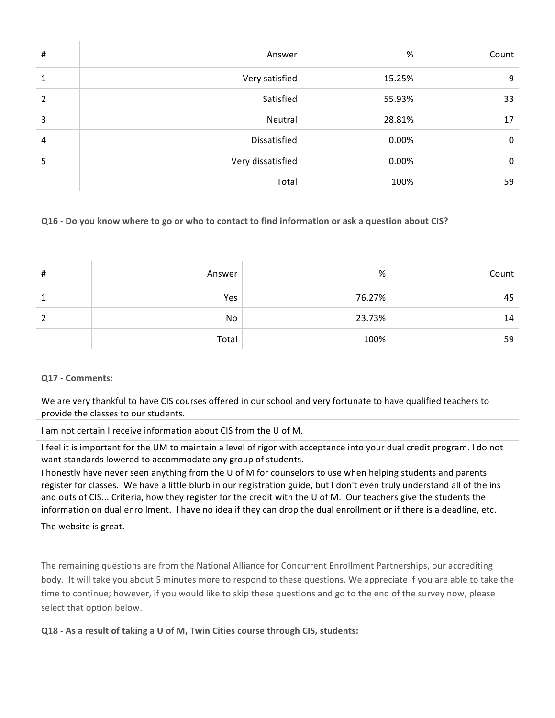| #              | Answer            | %      | Count |
|----------------|-------------------|--------|-------|
| 1              | Very satisfied    | 15.25% | 9     |
| $\overline{2}$ | Satisfied         | 55.93% | 33    |
| 3              | Neutral           | 28.81% | 17    |
| 4              | Dissatisfied      | 0.00%  | 0     |
| 5              | Very dissatisfied | 0.00%  | 0     |
|                | Total             | 100%   | 59    |

## **Q16** - Do you know where to go or who to contact to find information or ask a question about CIS?

| # | Answer | $\%$   | Count |
|---|--------|--------|-------|
| 1 | Yes    | 76.27% | 45    |
| 2 | No     | 23.73% | 14    |
|   | Total  | 100%   | 59    |

## **Q17 - Comments:**

We are very thankful to have CIS courses offered in our school and very fortunate to have qualified teachers to provide the classes to our students.

I am not certain I receive information about CIS from the U of M.

I feel it is important for the UM to maintain a level of rigor with acceptance into your dual credit program. I do not want standards lowered to accommodate any group of students.

I honestly have never seen anything from the U of M for counselors to use when helping students and parents register for classes. We have a little blurb in our registration guide, but I don't even truly understand all of the ins and outs of CIS... Criteria, how they register for the credit with the U of M. Our teachers give the students the information on dual enrollment. I have no idea if they can drop the dual enrollment or if there is a deadline, etc.

The website is great.

The remaining questions are from the National Alliance for Concurrent Enrollment Partnerships, our accrediting body. It will take you about 5 minutes more to respond to these questions. We appreciate if you are able to take the time to continue; however, if you would like to skip these questions and go to the end of the survey now, please select that option below.

**Q18** - As a result of taking a U of M, Twin Cities course through CIS, students: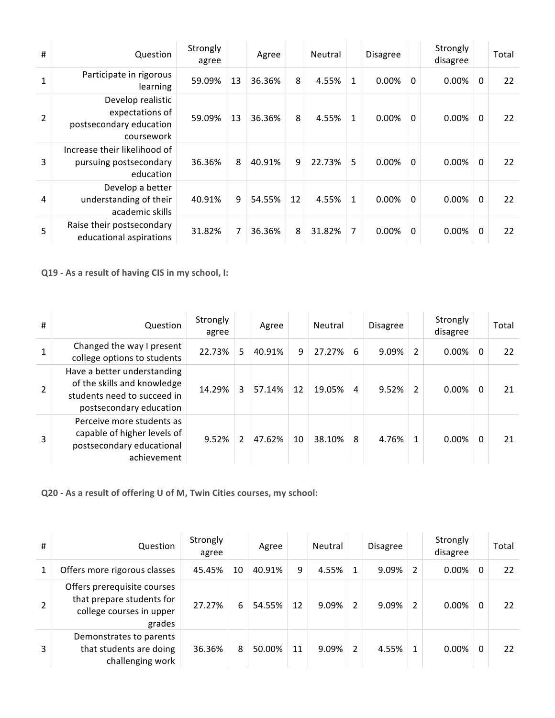| #              | Question                                                                      | Strongly<br>agree |    | Agree  |    | Neutral |              | <b>Disagree</b> |              | Strongly<br>disagree |              | Total |
|----------------|-------------------------------------------------------------------------------|-------------------|----|--------|----|---------|--------------|-----------------|--------------|----------------------|--------------|-------|
|                | Participate in rigorous<br>learning                                           | 59.09%            | 13 | 36.36% | 8  | 4.55%   | $\mathbf{1}$ | $0.00\%$        | $\mathbf{0}$ | 0.00%                | 0            | 22    |
| $\overline{2}$ | Develop realistic<br>expectations of<br>postsecondary education<br>coursework | 59.09%            | 13 | 36.36% | 8  | 4.55%   | $\mathbf{1}$ | $0.00\%$        | $\mathbf{0}$ | 0.00%                | 0            | 22    |
| 3              | Increase their likelihood of<br>pursuing postsecondary<br>education           | 36.36%            | 8  | 40.91% | 9  | 22.73%  | 5            | 0.00%           | $\mathbf{0}$ | 0.00%                | $\Omega$     | 22    |
| 4              | Develop a better<br>understanding of their<br>academic skills                 | 40.91%            | 9  | 54.55% | 12 | 4.55%   | $\mathbf{1}$ | $0.00\%$        | $\mathbf{0}$ | 0.00%                | $\Omega$     | 22    |
| 5              | Raise their postsecondary<br>educational aspirations                          | 31.82%            | 7  | 36.36% | 8  | 31.82%  | 7            | $0.00\%$        | $\mathbf{0}$ | 0.00%                | $\mathbf{0}$ | 22    |

**Q19** - As a result of having CIS in my school, I:

| #              | Question                                                                                                             | Strongly<br>agree |               | Agree  |    | Neutral |   | <b>Disagree</b> |               | Strongly<br>disagree |   | Total |
|----------------|----------------------------------------------------------------------------------------------------------------------|-------------------|---------------|--------|----|---------|---|-----------------|---------------|----------------------|---|-------|
| 1              | Changed the way I present<br>college options to students                                                             | 22.73%            | 5             | 40.91% | 9  | 27.27%  | 6 | 9.09%           | $\mathcal{P}$ | 0.00%                | 0 | 22    |
| $\overline{2}$ | Have a better understanding<br>of the skills and knowledge<br>students need to succeed in<br>postsecondary education | 14.29%            | 3             | 57.14% | 12 | 19.05%  | 4 | 9.52%           | 2             | 0.00%                | 0 | 21    |
| 3              | Perceive more students as<br>capable of higher levels of<br>postsecondary educational<br>achievement                 | 9.52%             | $\mathfrak z$ | 47.62% | 10 | 38.10%  | 8 | 4.76%           |               | 0.00%                | 0 | 21    |

**Q20 -** As a result of offering U of M, Twin Cities courses, my school:

| # | Question                                                                                       | Strongly<br>agree |    | Agree  |    | Neutral |   | <b>Disagree</b> |               | Strongly<br>disagree |   | Total |
|---|------------------------------------------------------------------------------------------------|-------------------|----|--------|----|---------|---|-----------------|---------------|----------------------|---|-------|
| 1 | Offers more rigorous classes                                                                   | 45.45%            | 10 | 40.91% | 9  | 4.55%   | 1 | 9.09%           | $\mathcal{P}$ | $0.00\%$             | 0 | 22    |
|   | Offers prerequisite courses<br>that prepare students for<br>college courses in upper<br>grades | 27.27%            | 6  | 54.55% | 12 | 9.09%   | 2 | 9.09%           | $\mathcal{P}$ | 0.00%                | 0 | 22    |
| 3 | Demonstrates to parents<br>that students are doing<br>challenging work                         | 36.36%            | 8  | 50.00% | 11 | 9.09%   | 2 | 4.55%           |               | 0.00%                | 0 | 22    |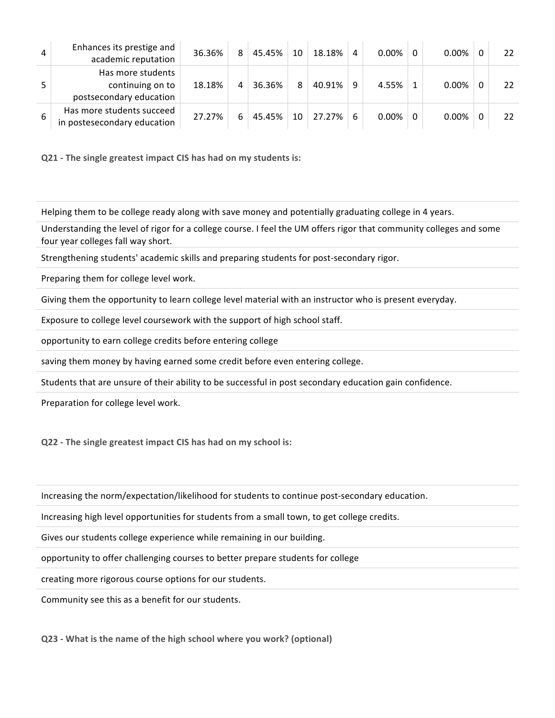| 4 | Enhances its prestige and<br>academic reputation                 | 36.36% | 8 | 45.45% | 10 | 18.18% | 4 | $0.00\%$ | $0.00\%$ | 22 |
|---|------------------------------------------------------------------|--------|---|--------|----|--------|---|----------|----------|----|
|   | Has more students<br>continuing on to<br>postsecondary education | 18.18% | 4 | 36.36% | 8  | 40.91% | 9 | 4.55%    | $0.00\%$ | 22 |
| 6 | Has more students succeed<br>in postesecondary education         | 27.27% | 6 | 45.45% | 10 | 27.27% | 6 | $0.00\%$ | 0.00%    | 22 |

**Q21** - The single greatest impact CIS has had on my students is:

Helping them to be college ready along with save money and potentially graduating college in 4 years.

Understanding the level of rigor for a college course. I feel the UM offers rigor that community colleges and some four year colleges fall way short.

Strengthening students' academic skills and preparing students for post-secondary rigor.

Preparing them for college level work.

Giving them the opportunity to learn college level material with an instructor who is present everyday.

Exposure to college level coursework with the support of high school staff.

opportunity to earn college credits before entering college

saving them money by having earned some credit before even entering college.

Students that are unsure of their ability to be successful in post secondary education gain confidence.

Preparation for college level work.

**Q22** - The single greatest impact CIS has had on my school is:

Increasing the norm/expectation/likelihood for students to continue post-secondary education.

Increasing high level opportunities for students from a small town, to get college credits.

Gives our students college experience while remaining in our building.

opportunity to offer challenging courses to better prepare students for college

creating more rigorous course options for our students.

Community see this as a benefit for our students.

**Q23** - What is the name of the high school where you work? (optional)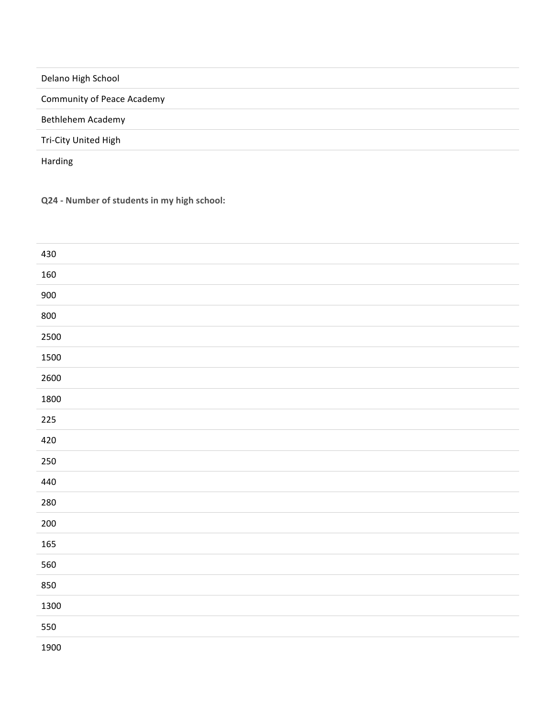| Delano High School                |  |
|-----------------------------------|--|
| <b>Community of Peace Academy</b> |  |
| Bethlehem Academy                 |  |
| Tri-City United High              |  |
| Harding                           |  |

**Q24 - Number of students in my high school:**

| 430  |  |
|------|--|
| 160  |  |
| 900  |  |
| 800  |  |
| 2500 |  |
| 1500 |  |
| 2600 |  |
| 1800 |  |
| 225  |  |
| 420  |  |
| 250  |  |
| 440  |  |
| 280  |  |
| 200  |  |
| 165  |  |
| 560  |  |
| 850  |  |
| 1300 |  |
| 550  |  |
| 1900 |  |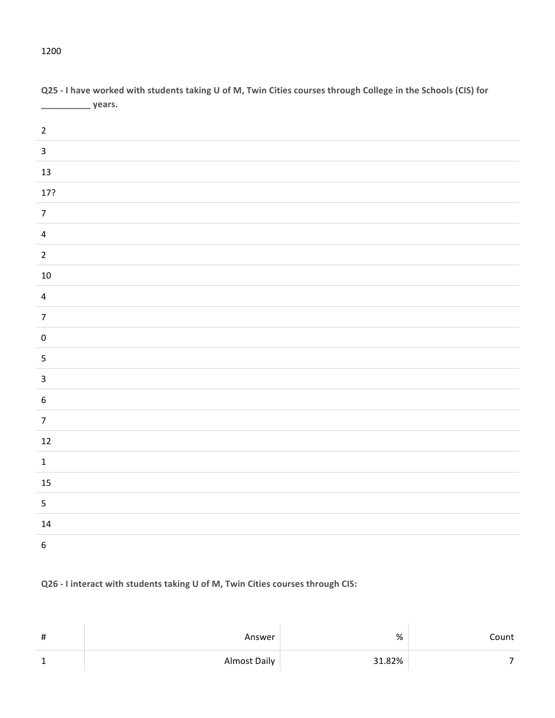# 17?

**Q25 - I have worked with students taking U of M, Twin Cities courses through College in the Schools (CIS) for \_\_\_\_\_\_\_\_\_\_ years.**

# **Q26** - I interact with students taking U of M, Twin Cities courses through CIS:

| # | Answer       | %      | Count |
|---|--------------|--------|-------|
|   | Almost Daily | 31.82% |       |

##